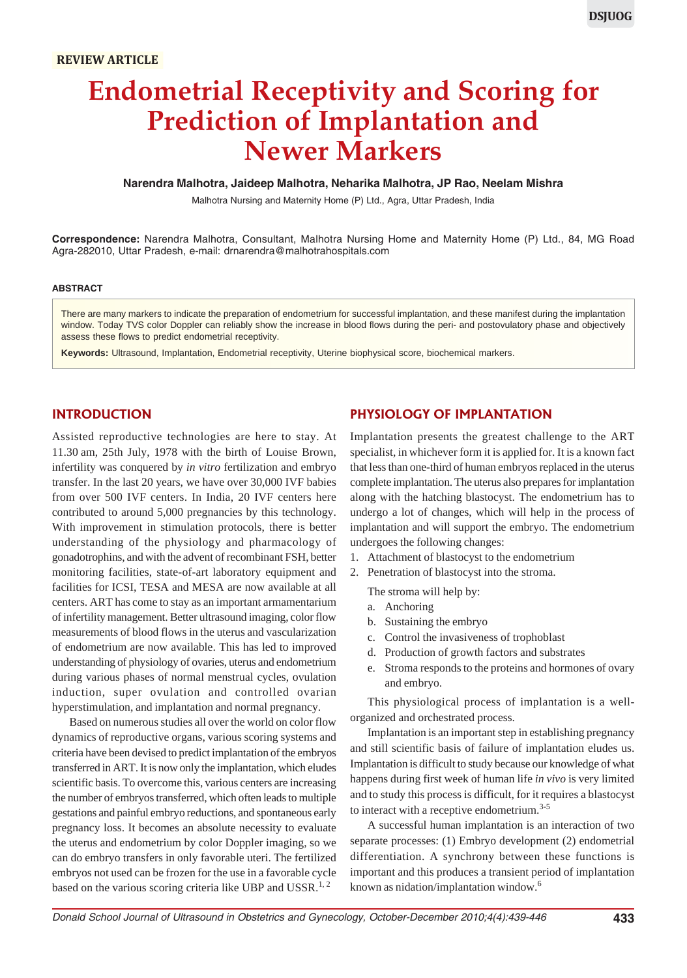# **Endometrial Receptivity and Scoring for Prediction of Implantation and Newer Markers**

#### **Narendra Malhotra, Jaideep Malhotra, Neharika Malhotra, JP Rao, Neelam Mishra**

Malhotra Nursing and Maternity Home (P) Ltd., Agra, Uttar Pradesh, India

**Correspondence:** Narendra Malhotra, Consultant, Malhotra Nursing Home and Maternity Home (P) Ltd., 84, MG Road Agra-282010, Uttar Pradesh, e-mail: drnarendra@malhotrahospitals.com

#### **ABSTRACT**

There are many markers to indicate the preparation of endometrium for successful implantation, and these manifest during the implantation window. Today TVS color Doppler can reliably show the increase in blood flows during the peri- and postovulatory phase and objectively assess these flows to predict endometrial receptivity.

**Keywords:** Ultrasound, Implantation, Endometrial receptivity, Uterine biophysical score, biochemical markers.

# **INTRODUCTION**

Assisted reproductive technologies are here to stay. At 11.30 am, 25th July, 1978 with the birth of Louise Brown, infertility was conquered by *in vitro* fertilization and embryo transfer. In the last 20 years, we have over 30,000 IVF babies from over 500 IVF centers. In India, 20 IVF centers here contributed to around 5,000 pregnancies by this technology. With improvement in stimulation protocols, there is better understanding of the physiology and pharmacology of gonadotrophins, and with the advent of recombinant FSH, better monitoring facilities, state-of-art laboratory equipment and facilities for ICSI, TESA and MESA are now available at all centers. ART has come to stay as an important armamentarium of infertility management. Better ultrasound imaging, color flow measurements of blood flows in the uterus and vascularization of endometrium are now available. This has led to improved understanding of physiology of ovaries, uterus and endometrium during various phases of normal menstrual cycles, ovulation induction, super ovulation and controlled ovarian hyperstimulation, and implantation and normal pregnancy.

Based on numerous studies all over the world on color flow dynamics of reproductive organs, various scoring systems and criteria have been devised to predict implantation of the embryos transferred in ART. It is now only the implantation, which eludes scientific basis. To overcome this, various centers are increasing the number of embryos transferred, which often leads to multiple gestations and painful embryo reductions, and spontaneous early pregnancy loss. It becomes an absolute necessity to evaluate the uterus and endometrium by color Doppler imaging, so we can do embryo transfers in only favorable uteri. The fertilized embryos not used can be frozen for the use in a favorable cycle based on the various scoring criteria like UBP and USSR.<sup>1, 2</sup>

### **PHYSIOLOGY OF IMPLANTATION**

Implantation presents the greatest challenge to the ART specialist, in whichever form it is applied for. It is a known fact that less than one-third of human embryos replaced in the uterus complete implantation. The uterus also prepares for implantation along with the hatching blastocyst. The endometrium has to undergo a lot of changes, which will help in the process of implantation and will support the embryo. The endometrium undergoes the following changes:

- 1. Attachment of blastocyst to the endometrium
- 2. Penetration of blastocyst into the stroma.

The stroma will help by:

- a. Anchoring
- b. Sustaining the embryo
- c. Control the invasiveness of trophoblast
- d. Production of growth factors and substrates
- e. Stroma responds to the proteins and hormones of ovary and embryo.

This physiological process of implantation is a wellorganized and orchestrated process.

Implantation is an important step in establishing pregnancy and still scientific basis of failure of implantation eludes us. Implantation is difficult to study because our knowledge of what happens during first week of human life *in vivo* is very limited and to study this process is difficult, for it requires a blastocyst to interact with a receptive endometrium.<sup>3-5</sup>

A successful human implantation is an interaction of two separate processes: (1) Embryo development (2) endometrial differentiation. A synchrony between these functions is important and this produces a transient period of implantation known as nidation/implantation window.<sup>6</sup>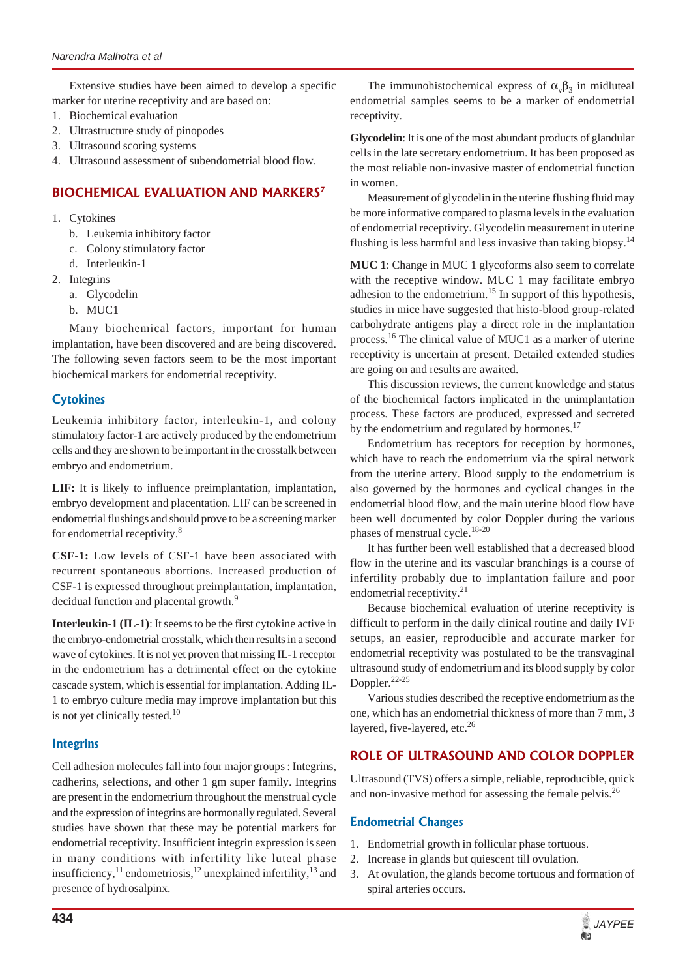Extensive studies have been aimed to develop a specific marker for uterine receptivity and are based on:

- 1. Biochemical evaluation
- 2. Ultrastructure study of pinopodes
- 3. Ultrasound scoring systems
- 4. Ultrasound assessment of subendometrial blood flow.

# **BIOCHEMICAL EVALUATION AND MARKERS7**

- 1. Cytokines
	- b. Leukemia inhibitory factor
	- c. Colony stimulatory factor
	- d. Interleukin-1
- 2. Integrins
	- a. Glycodelin
	- b. MUC1

Many biochemical factors, important for human implantation, have been discovered and are being discovered. The following seven factors seem to be the most important biochemical markers for endometrial receptivity.

# **Cytokines**

Leukemia inhibitory factor, interleukin-1, and colony stimulatory factor-1 are actively produced by the endometrium cells and they are shown to be important in the crosstalk between embryo and endometrium.

**LIF:** It is likely to influence preimplantation, implantation, embryo development and placentation. LIF can be screened in endometrial flushings and should prove to be a screening marker for endometrial receptivity.<sup>8</sup>

**CSF-1:** Low levels of CSF-1 have been associated with recurrent spontaneous abortions. Increased production of CSF-1 is expressed throughout preimplantation, implantation, decidual function and placental growth.<sup>9</sup>

**Interleukin-1 (IL-1)**: It seems to be the first cytokine active in the embryo-endometrial crosstalk, which then results in a second wave of cytokines. It is not yet proven that missing IL-1 receptor in the endometrium has a detrimental effect on the cytokine cascade system, which is essential for implantation. Adding IL-1 to embryo culture media may improve implantation but this is not yet clinically tested. $10$ 

# **Integrins**

Cell adhesion molecules fall into four major groups : Integrins, cadherins, selections, and other 1 gm super family. Integrins are present in the endometrium throughout the menstrual cycle and the expression of integrins are hormonally regulated. Several studies have shown that these may be potential markers for endometrial receptivity. Insufficient integrin expression is seen in many conditions with infertility like luteal phase insufficiency,<sup>11</sup> endometriosis,<sup>12</sup> unexplained infertility,<sup>13</sup> and presence of hydrosalpinx.

The immunohistochemical express of  $\alpha_{\nu}\beta_3$  in midluteal endometrial samples seems to be a marker of endometrial receptivity.

**Glycodelin**: It is one of the most abundant products of glandular cells in the late secretary endometrium. It has been proposed as the most reliable non-invasive master of endometrial function in women.

Measurement of glycodelin in the uterine flushing fluid may be more informative compared to plasma levels in the evaluation of endometrial receptivity. Glycodelin measurement in uterine flushing is less harmful and less invasive than taking biopsy.<sup>14</sup>

**MUC 1**: Change in MUC 1 glycoforms also seem to correlate with the receptive window. MUC 1 may facilitate embryo adhesion to the endometrium.<sup>15</sup> In support of this hypothesis, studies in mice have suggested that histo-blood group-related carbohydrate antigens play a direct role in the implantation process.<sup>16</sup> The clinical value of MUC1 as a marker of uterine receptivity is uncertain at present. Detailed extended studies are going on and results are awaited.

This discussion reviews, the current knowledge and status of the biochemical factors implicated in the unimplantation process. These factors are produced, expressed and secreted by the endometrium and regulated by hormones.<sup>17</sup>

Endometrium has receptors for reception by hormones, which have to reach the endometrium via the spiral network from the uterine artery. Blood supply to the endometrium is also governed by the hormones and cyclical changes in the endometrial blood flow, and the main uterine blood flow have been well documented by color Doppler during the various phases of menstrual cycle. $18-20$ 

It has further been well established that a decreased blood flow in the uterine and its vascular branchings is a course of infertility probably due to implantation failure and poor endometrial receptivity.<sup>21</sup>

Because biochemical evaluation of uterine receptivity is difficult to perform in the daily clinical routine and daily IVF setups, an easier, reproducible and accurate marker for endometrial receptivity was postulated to be the transvaginal ultrasound study of endometrium and its blood supply by color Doppler.22-25

Various studies described the receptive endometrium as the one, which has an endometrial thickness of more than 7 mm, 3 layered, five-layered, etc.<sup>26</sup>

# **ROLE OF ULTRASOUND AND COLOR DOPPLER**

Ultrasound (TVS) offers a simple, reliable, reproducible, quick and non-invasive method for assessing the female pelvis.<sup>26</sup>

# **Endometrial Changes**

- 1. Endometrial growth in follicular phase tortuous.
- 2. Increase in glands but quiescent till ovulation.
- 3. At ovulation, the glands become tortuous and formation of spiral arteries occurs.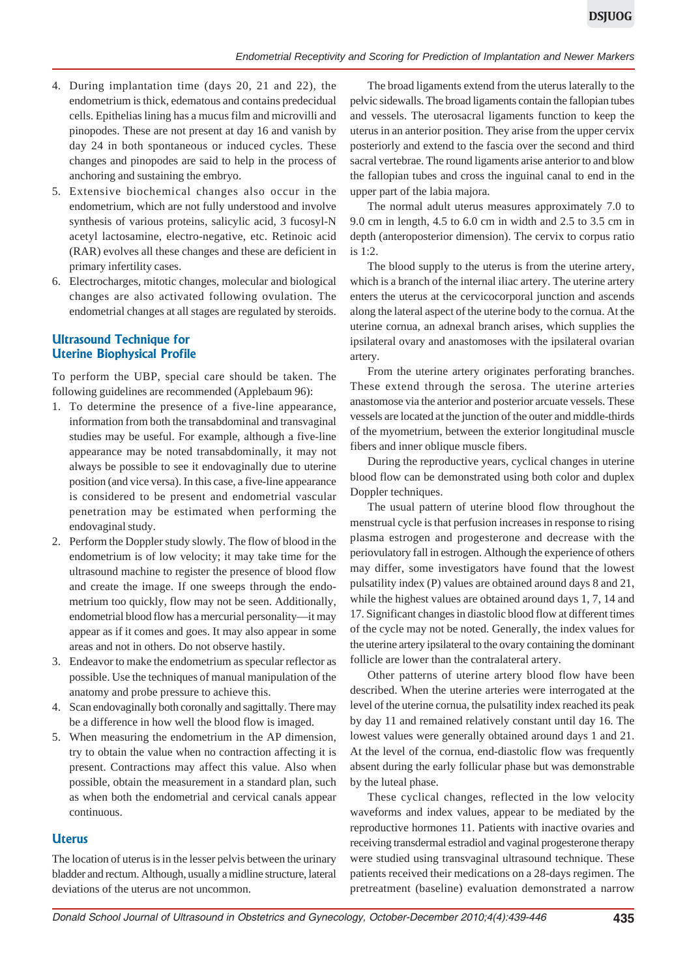- 4. During implantation time (days 20, 21 and 22), the endometrium is thick, edematous and contains predecidual cells. Epithelias lining has a mucus film and microvilli and pinopodes. These are not present at day 16 and vanish by day 24 in both spontaneous or induced cycles. These changes and pinopodes are said to help in the process of anchoring and sustaining the embryo.
- 5. Extensive biochemical changes also occur in the endometrium, which are not fully understood and involve synthesis of various proteins, salicylic acid, 3 fucosyl-N acetyl lactosamine, electro-negative, etc. Retinoic acid (RAR) evolves all these changes and these are deficient in primary infertility cases.
- 6. Electrocharges, mitotic changes, molecular and biological changes are also activated following ovulation. The endometrial changes at all stages are regulated by steroids.

## **Ultrasound Technique for Uterine Biophysical Profile**

To perform the UBP, special care should be taken. The following guidelines are recommended (Applebaum 96):

- 1. To determine the presence of a five-line appearance, information from both the transabdominal and transvaginal studies may be useful. For example, although a five-line appearance may be noted transabdominally, it may not always be possible to see it endovaginally due to uterine position (and vice versa). In this case, a five-line appearance is considered to be present and endometrial vascular penetration may be estimated when performing the endovaginal study.
- 2. Perform the Doppler study slowly. The flow of blood in the endometrium is of low velocity; it may take time for the ultrasound machine to register the presence of blood flow and create the image. If one sweeps through the endometrium too quickly, flow may not be seen. Additionally, endometrial blood flow has a mercurial personality—it may appear as if it comes and goes. It may also appear in some areas and not in others. Do not observe hastily.
- 3. Endeavor to make the endometrium as specular reflector as possible. Use the techniques of manual manipulation of the anatomy and probe pressure to achieve this.
- 4. Scan endovaginally both coronally and sagittally. There may be a difference in how well the blood flow is imaged.
- 5. When measuring the endometrium in the AP dimension, try to obtain the value when no contraction affecting it is present. Contractions may affect this value. Also when possible, obtain the measurement in a standard plan, such as when both the endometrial and cervical canals appear continuous.

#### **Uterus**

The location of uterus is in the lesser pelvis between the urinary bladder and rectum. Although, usually a midline structure, lateral deviations of the uterus are not uncommon.

The broad ligaments extend from the uterus laterally to the pelvic sidewalls. The broad ligaments contain the fallopian tubes and vessels. The uterosacral ligaments function to keep the uterus in an anterior position. They arise from the upper cervix posteriorly and extend to the fascia over the second and third sacral vertebrae. The round ligaments arise anterior to and blow the fallopian tubes and cross the inguinal canal to end in the upper part of the labia majora.

The normal adult uterus measures approximately 7.0 to 9.0 cm in length, 4.5 to 6.0 cm in width and 2.5 to 3.5 cm in depth (anteroposterior dimension). The cervix to corpus ratio is 1:2.

The blood supply to the uterus is from the uterine artery, which is a branch of the internal iliac artery. The uterine artery enters the uterus at the cervicocorporal junction and ascends along the lateral aspect of the uterine body to the cornua. At the uterine cornua, an adnexal branch arises, which supplies the ipsilateral ovary and anastomoses with the ipsilateral ovarian artery.

From the uterine artery originates perforating branches. These extend through the serosa. The uterine arteries anastomose via the anterior and posterior arcuate vessels. These vessels are located at the junction of the outer and middle-thirds of the myometrium, between the exterior longitudinal muscle fibers and inner oblique muscle fibers.

During the reproductive years, cyclical changes in uterine blood flow can be demonstrated using both color and duplex Doppler techniques.

The usual pattern of uterine blood flow throughout the menstrual cycle is that perfusion increases in response to rising plasma estrogen and progesterone and decrease with the periovulatory fall in estrogen. Although the experience of others may differ, some investigators have found that the lowest pulsatility index (P) values are obtained around days 8 and 21, while the highest values are obtained around days 1, 7, 14 and 17. Significant changes in diastolic blood flow at different times of the cycle may not be noted. Generally, the index values for the uterine artery ipsilateral to the ovary containing the dominant follicle are lower than the contralateral artery.

Other patterns of uterine artery blood flow have been described. When the uterine arteries were interrogated at the level of the uterine cornua, the pulsatility index reached its peak by day 11 and remained relatively constant until day 16. The lowest values were generally obtained around days 1 and 21. At the level of the cornua, end-diastolic flow was frequently absent during the early follicular phase but was demonstrable by the luteal phase.

These cyclical changes, reflected in the low velocity waveforms and index values, appear to be mediated by the reproductive hormones 11. Patients with inactive ovaries and receiving transdermal estradiol and vaginal progesterone therapy were studied using transvaginal ultrasound technique. These patients received their medications on a 28-days regimen. The pretreatment (baseline) evaluation demonstrated a narrow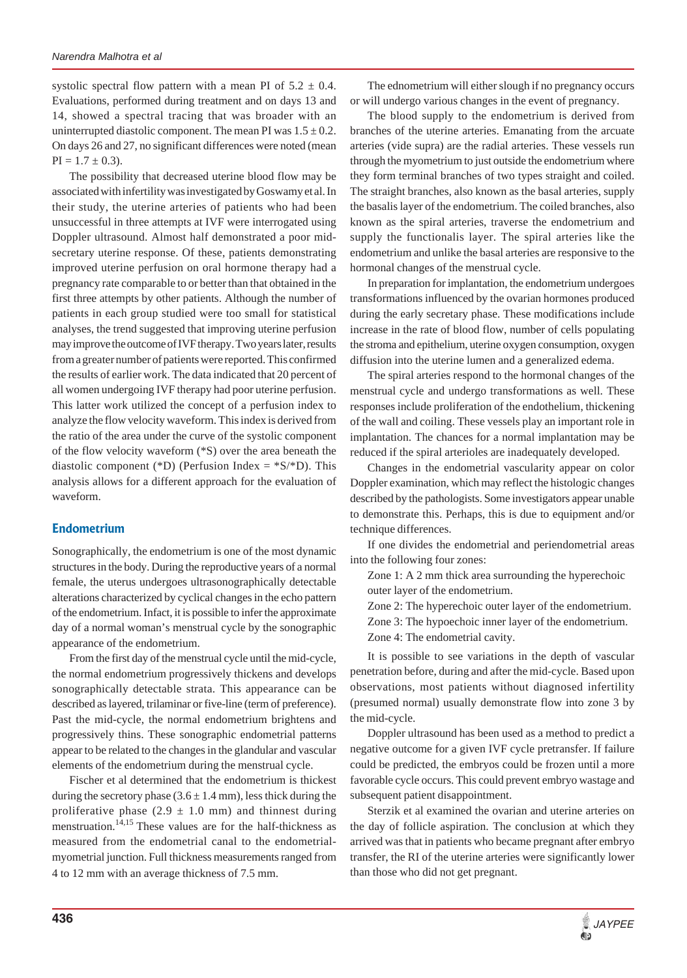systolic spectral flow pattern with a mean PI of  $5.2 \pm 0.4$ . Evaluations, performed during treatment and on days 13 and 14, showed a spectral tracing that was broader with an uninterrupted diastolic component. The mean PI was  $1.5 \pm 0.2$ . On days 26 and 27, no significant differences were noted (mean  $PI = 1.7 \pm 0.3$ .

The possibility that decreased uterine blood flow may be associated with infertility was investigated by Goswamy et al. In their study, the uterine arteries of patients who had been unsuccessful in three attempts at IVF were interrogated using Doppler ultrasound. Almost half demonstrated a poor midsecretary uterine response. Of these, patients demonstrating improved uterine perfusion on oral hormone therapy had a pregnancy rate comparable to or better than that obtained in the first three attempts by other patients. Although the number of patients in each group studied were too small for statistical analyses, the trend suggested that improving uterine perfusion may improve the outcome of IVF therapy. Two years later, results from a greater number of patients were reported. This confirmed the results of earlier work. The data indicated that 20 percent of all women undergoing IVF therapy had poor uterine perfusion. This latter work utilized the concept of a perfusion index to analyze the flow velocity waveform. This index is derived from the ratio of the area under the curve of the systolic component of the flow velocity waveform (\*S) over the area beneath the diastolic component (\*D) (Perfusion Index =  $*S/SD$ ). This analysis allows for a different approach for the evaluation of waveform.

# **Endometrium**

Sonographically, the endometrium is one of the most dynamic structures in the body. During the reproductive years of a normal female, the uterus undergoes ultrasonographically detectable alterations characterized by cyclical changes in the echo pattern of the endometrium. Infact, it is possible to infer the approximate day of a normal woman's menstrual cycle by the sonographic appearance of the endometrium.

From the first day of the menstrual cycle until the mid-cycle, the normal endometrium progressively thickens and develops sonographically detectable strata. This appearance can be described as layered, trilaminar or five-line (term of preference). Past the mid-cycle, the normal endometrium brightens and progressively thins. These sonographic endometrial patterns appear to be related to the changes in the glandular and vascular elements of the endometrium during the menstrual cycle.

Fischer et al determined that the endometrium is thickest during the secretory phase  $(3.6 \pm 1.4 \text{ mm})$ , less thick during the proliferative phase  $(2.9 \pm 1.0 \text{ mm})$  and thinnest during menstruation.<sup>14,15</sup> These values are for the half-thickness as measured from the endometrial canal to the endometrialmyometrial junction. Full thickness measurements ranged from 4 to 12 mm with an average thickness of 7.5 mm.

The ednometrium will either slough if no pregnancy occurs or will undergo various changes in the event of pregnancy.

The blood supply to the endometrium is derived from branches of the uterine arteries. Emanating from the arcuate arteries (vide supra) are the radial arteries. These vessels run through the myometrium to just outside the endometrium where they form terminal branches of two types straight and coiled. The straight branches, also known as the basal arteries, supply the basalis layer of the endometrium. The coiled branches, also known as the spiral arteries, traverse the endometrium and supply the functionalis layer. The spiral arteries like the endometrium and unlike the basal arteries are responsive to the hormonal changes of the menstrual cycle.

In preparation for implantation, the endometrium undergoes transformations influenced by the ovarian hormones produced during the early secretary phase. These modifications include increase in the rate of blood flow, number of cells populating the stroma and epithelium, uterine oxygen consumption, oxygen diffusion into the uterine lumen and a generalized edema.

The spiral arteries respond to the hormonal changes of the menstrual cycle and undergo transformations as well. These responses include proliferation of the endothelium, thickening of the wall and coiling. These vessels play an important role in implantation. The chances for a normal implantation may be reduced if the spiral arterioles are inadequately developed.

Changes in the endometrial vascularity appear on color Doppler examination, which may reflect the histologic changes described by the pathologists. Some investigators appear unable to demonstrate this. Perhaps, this is due to equipment and/or technique differences.

If one divides the endometrial and periendometrial areas into the following four zones:

Zone 1: A 2 mm thick area surrounding the hyperechoic outer layer of the endometrium.

Zone 2: The hyperechoic outer layer of the endometrium. Zone 3: The hypoechoic inner layer of the endometrium. Zone 4: The endometrial cavity.

It is possible to see variations in the depth of vascular penetration before, during and after the mid-cycle. Based upon observations, most patients without diagnosed infertility (presumed normal) usually demonstrate flow into zone 3 by the mid-cycle.

Doppler ultrasound has been used as a method to predict a negative outcome for a given IVF cycle pretransfer. If failure could be predicted, the embryos could be frozen until a more favorable cycle occurs. This could prevent embryo wastage and subsequent patient disappointment.

Sterzik et al examined the ovarian and uterine arteries on the day of follicle aspiration. The conclusion at which they arrived was that in patients who became pregnant after embryo transfer, the RI of the uterine arteries were significantly lower than those who did not get pregnant.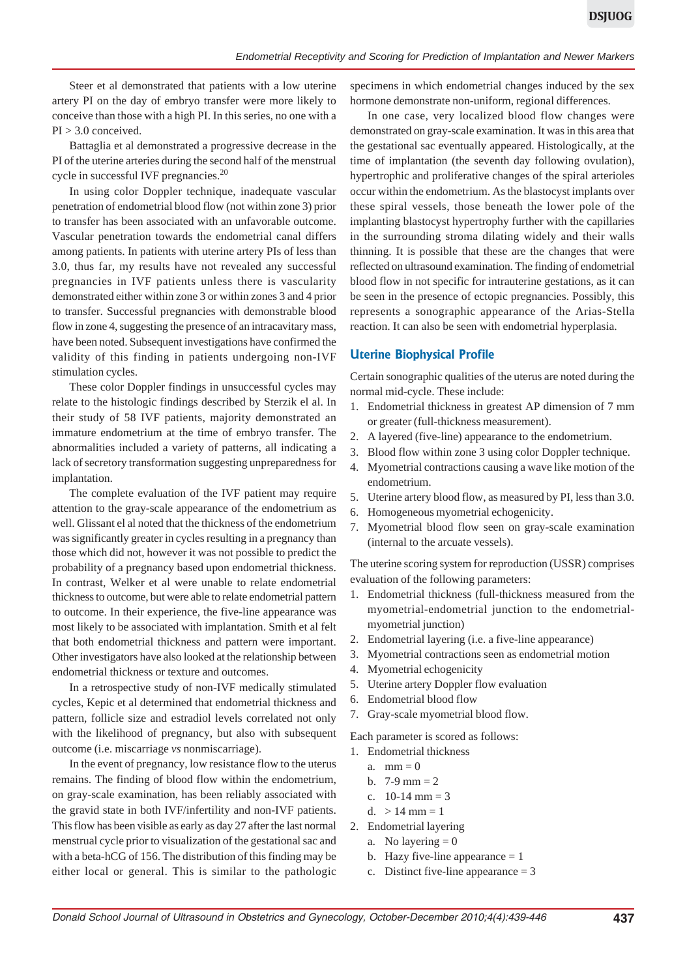Steer et al demonstrated that patients with a low uterine artery PI on the day of embryo transfer were more likely to conceive than those with a high PI. In this series, no one with a PI > 3.0 conceived.

Battaglia et al demonstrated a progressive decrease in the PI of the uterine arteries during the second half of the menstrual cycle in successful IVF pregnancies.<sup>20</sup>

In using color Doppler technique, inadequate vascular penetration of endometrial blood flow (not within zone 3) prior to transfer has been associated with an unfavorable outcome. Vascular penetration towards the endometrial canal differs among patients. In patients with uterine artery PIs of less than 3.0, thus far, my results have not revealed any successful pregnancies in IVF patients unless there is vascularity demonstrated either within zone 3 or within zones 3 and 4 prior to transfer. Successful pregnancies with demonstrable blood flow in zone 4, suggesting the presence of an intracavitary mass, have been noted. Subsequent investigations have confirmed the validity of this finding in patients undergoing non-IVF stimulation cycles.

These color Doppler findings in unsuccessful cycles may relate to the histologic findings described by Sterzik el al. In their study of 58 IVF patients, majority demonstrated an immature endometrium at the time of embryo transfer. The abnormalities included a variety of patterns, all indicating a lack of secretory transformation suggesting unpreparedness for implantation.

The complete evaluation of the IVF patient may require attention to the gray-scale appearance of the endometrium as well. Glissant el al noted that the thickness of the endometrium was significantly greater in cycles resulting in a pregnancy than those which did not, however it was not possible to predict the probability of a pregnancy based upon endometrial thickness. In contrast, Welker et al were unable to relate endometrial thickness to outcome, but were able to relate endometrial pattern to outcome. In their experience, the five-line appearance was most likely to be associated with implantation. Smith et al felt that both endometrial thickness and pattern were important. Other investigators have also looked at the relationship between endometrial thickness or texture and outcomes.

In a retrospective study of non-IVF medically stimulated cycles, Kepic et al determined that endometrial thickness and pattern, follicle size and estradiol levels correlated not only with the likelihood of pregnancy, but also with subsequent outcome (i.e. miscarriage *vs* nonmiscarriage).

In the event of pregnancy, low resistance flow to the uterus remains. The finding of blood flow within the endometrium, on gray-scale examination, has been reliably associated with the gravid state in both IVF/infertility and non-IVF patients. This flow has been visible as early as day 27 after the last normal menstrual cycle prior to visualization of the gestational sac and with a beta-hCG of 156. The distribution of this finding may be either local or general. This is similar to the pathologic

specimens in which endometrial changes induced by the sex hormone demonstrate non-uniform, regional differences.

In one case, very localized blood flow changes were demonstrated on gray-scale examination. It was in this area that the gestational sac eventually appeared. Histologically, at the time of implantation (the seventh day following ovulation), hypertrophic and proliferative changes of the spiral arterioles occur within the endometrium. As the blastocyst implants over these spiral vessels, those beneath the lower pole of the implanting blastocyst hypertrophy further with the capillaries in the surrounding stroma dilating widely and their walls thinning. It is possible that these are the changes that were reflected on ultrasound examination. The finding of endometrial blood flow in not specific for intrauterine gestations, as it can be seen in the presence of ectopic pregnancies. Possibly, this represents a sonographic appearance of the Arias-Stella reaction. It can also be seen with endometrial hyperplasia.

#### **Uterine Biophysical Profile**

Certain sonographic qualities of the uterus are noted during the normal mid-cycle. These include:

- 1. Endometrial thickness in greatest AP dimension of 7 mm or greater (full-thickness measurement).
- 2. A layered (five-line) appearance to the endometrium.
- 3. Blood flow within zone 3 using color Doppler technique.
- 4. Myometrial contractions causing a wave like motion of the endometrium.
- 5. Uterine artery blood flow, as measured by PI, less than 3.0.
- 6. Homogeneous myometrial echogenicity.
- 7. Myometrial blood flow seen on gray-scale examination (internal to the arcuate vessels).

The uterine scoring system for reproduction (USSR) comprises evaluation of the following parameters:

- 1. Endometrial thickness (full-thickness measured from the myometrial-endometrial junction to the endometrialmyometrial junction)
- 2. Endometrial layering (i.e. a five-line appearance)
- 3. Myometrial contractions seen as endometrial motion
- 4. Myometrial echogenicity
- 5. Uterine artery Doppler flow evaluation
- 6. Endometrial blood flow
- 7. Gray-scale myometrial blood flow.

Each parameter is scored as follows:

- 1. Endometrial thickness
	- a.  $mm = 0$
	- b.  $7-9$  mm = 2
	- c.  $10-14$  mm = 3
	- d.  $> 14$  mm = 1
	-
- 2. Endometrial layering
	- a. No layering  $= 0$
	- b. Hazy five-line appearance  $= 1$
	- c. Distinct five-line appearance  $= 3$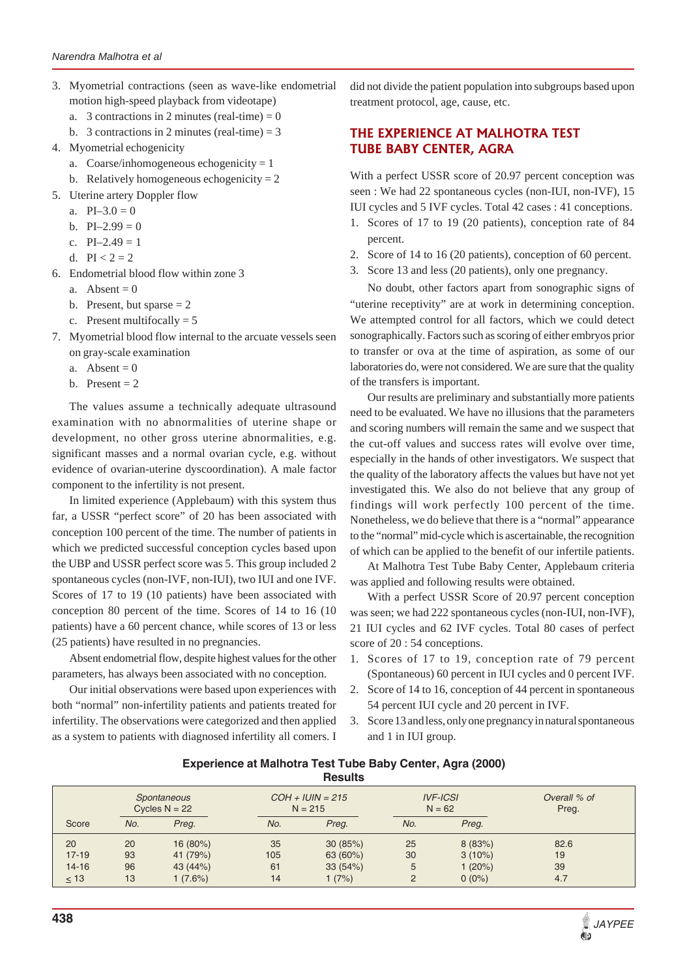- 3. Myometrial contractions (seen as wave-like endometrial motion high-speed playback from videotape)
	- a. 3 contractions in 2 minutes (real-time) =  $0$
	- b. 3 contractions in 2 minutes (real-time)  $= 3$
- 4. Myometrial echogenicity
	- a. Coarse/inhomogeneous echogenicity  $= 1$
	- b. Relatively homogeneous echogenicity  $= 2$
- 5. Uterine artery Doppler flow
	- a.  $PI-3.0 = 0$
	- b.  $PI-2.99 = 0$
	- c.  $PI-2.49 = 1$
	- d.  $PI < 2 = 2$
- 6. Endometrial blood flow within zone 3
	- a. Absent  $= 0$
	- b. Present, but sparse  $= 2$
	- c. Present multifocally  $= 5$
- 7. Myometrial blood flow internal to the arcuate vessels seen on gray-scale examination
	- a. Absent  $= 0$
	- b. Present  $= 2$

The values assume a technically adequate ultrasound examination with no abnormalities of uterine shape or development, no other gross uterine abnormalities, e.g. significant masses and a normal ovarian cycle, e.g. without evidence of ovarian-uterine dyscoordination). A male factor component to the infertility is not present.

In limited experience (Applebaum) with this system thus far, a USSR "perfect score" of 20 has been associated with conception 100 percent of the time. The number of patients in which we predicted successful conception cycles based upon the UBP and USSR perfect score was 5. This group included 2 spontaneous cycles (non-IVF, non-IUI), two IUI and one IVF. Scores of 17 to 19 (10 patients) have been associated with conception 80 percent of the time. Scores of 14 to 16 (10 patients) have a 60 percent chance, while scores of 13 or less (25 patients) have resulted in no pregnancies.

Absent endometrial flow, despite highest values for the other parameters, has always been associated with no conception.

Our initial observations were based upon experiences with both "normal" non-infertility patients and patients treated for infertility. The observations were categorized and then applied as a system to patients with diagnosed infertility all comers. I did not divide the patient population into subgroups based upon treatment protocol, age, cause, etc.

# **THE EXPERIENCE AT MALHOTRA TEST TUBE BABY CENTER, AGRA**

With a perfect USSR score of 20.97 percent conception was seen : We had 22 spontaneous cycles (non-IUI, non-IVF), 15 IUI cycles and 5 IVF cycles. Total 42 cases : 41 conceptions.

- 1. Scores of 17 to 19 (20 patients), conception rate of 84 percent.
- 2. Score of 14 to 16 (20 patients), conception of 60 percent.
- 3. Score 13 and less (20 patients), only one pregnancy.

No doubt, other factors apart from sonographic signs of "uterine receptivity" are at work in determining conception. We attempted control for all factors, which we could detect sonographically. Factors such as scoring of either embryos prior to transfer or ova at the time of aspiration, as some of our laboratories do, were not considered. We are sure that the quality of the transfers is important.

Our results are preliminary and substantially more patients need to be evaluated. We have no illusions that the parameters and scoring numbers will remain the same and we suspect that the cut-off values and success rates will evolve over time, especially in the hands of other investigators. We suspect that the quality of the laboratory affects the values but have not yet investigated this. We also do not believe that any group of findings will work perfectly 100 percent of the time. Nonetheless, we do believe that there is a "normal" appearance to the "normal" mid-cycle which is ascertainable, the recognition of which can be applied to the benefit of our infertile patients.

At Malhotra Test Tube Baby Center, Applebaum criteria was applied and following results were obtained.

With a perfect USSR Score of 20.97 percent conception was seen; we had 222 spontaneous cycles (non-IUI, non-IVF), 21 IUI cycles and 62 IVF cycles. Total 80 cases of perfect score of 20 : 54 conceptions.

- 1. Scores of 17 to 19, conception rate of 79 percent (Spontaneous) 60 percent in IUI cycles and 0 percent IVF.
- 2. Score of 14 to 16, conception of 44 percent in spontaneous 54 percent IUI cycle and 20 percent in IVF.
- 3. Score 13 and less, only one pregnancy in natural spontaneous and 1 in IUI group.

| Experience at Malhotra Test Tube Baby Center, Agra (2000) |                |  |  |
|-----------------------------------------------------------|----------------|--|--|
|                                                           | <b>Results</b> |  |  |

|           | Spontaneous<br>Cycles $N = 22$ |          | $COH + IUIN = 215$<br>$N = 215$ |          | <b>IVF-ICSI</b><br>$N = 62$ |           | Overall % of<br>Preg. |
|-----------|--------------------------------|----------|---------------------------------|----------|-----------------------------|-----------|-----------------------|
| Score     | No.                            | Preg.    | No.                             | Preg.    | No.                         | Preg.     |                       |
| 20        | 20                             | 16 (80%) | 35                              | 30(85%)  | 25                          | 8(83%)    | 82.6                  |
| $17 - 19$ | 93                             | 41 (79%) | 105                             | 63 (60%) | 30                          | $3(10\%)$ | 19                    |
| $14 - 16$ | 96                             | 43 (44%) | 61                              | 33(54%)  | 5                           | 1(20%)    | 39                    |
| $\leq 13$ | 13                             | 1(7.6%)  | 14                              | 1(7%)    | 2                           | $0(0\%)$  | 4.7                   |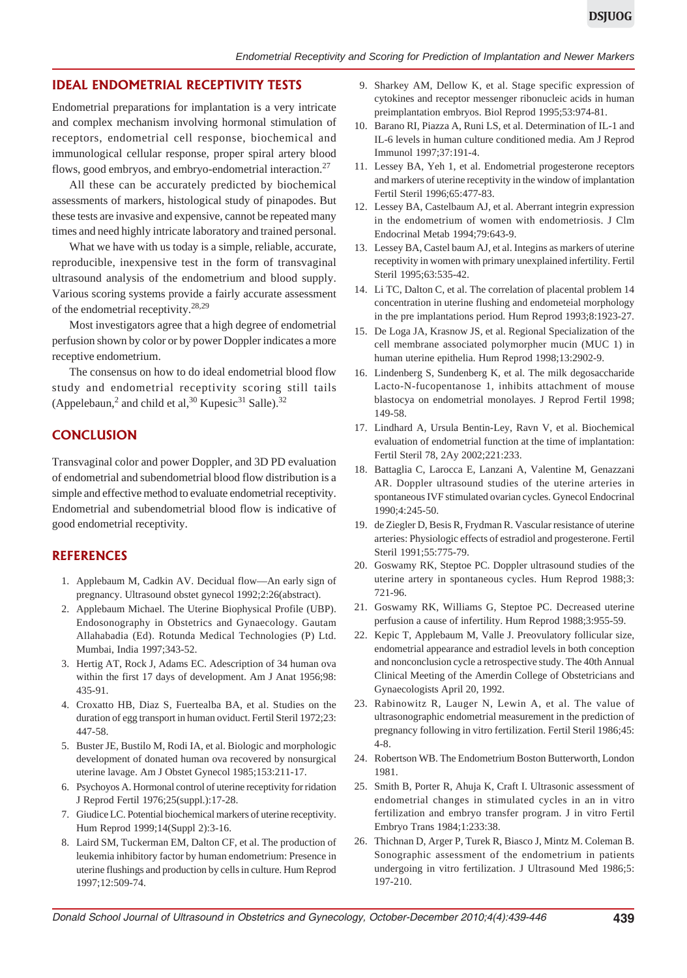#### **IDEAL ENDOMETRIAL RECEPTIVITY TESTS**

Endometrial preparations for implantation is a very intricate and complex mechanism involving hormonal stimulation of receptors, endometrial cell response, biochemical and immunological cellular response, proper spiral artery blood flows, good embryos, and embryo-endometrial interaction.<sup>27</sup>

All these can be accurately predicted by biochemical assessments of markers, histological study of pinapodes. But these tests are invasive and expensive, cannot be repeated many times and need highly intricate laboratory and trained personal.

What we have with us today is a simple, reliable, accurate, reproducible, inexpensive test in the form of transvaginal ultrasound analysis of the endometrium and blood supply. Various scoring systems provide a fairly accurate assessment of the endometrial receptivity.28,29

Most investigators agree that a high degree of endometrial perfusion shown by color or by power Doppler indicates a more receptive endometrium.

The consensus on how to do ideal endometrial blood flow study and endometrial receptivity scoring still tails (Appelebaun,<sup>2</sup> and child et al,<sup>30</sup> Kupesic<sup>31</sup> Salle).<sup>32</sup>

### **CONCLUSION**

Transvaginal color and power Doppler, and 3D PD evaluation of endometrial and subendometrial blood flow distribution is a simple and effective method to evaluate endometrial receptivity. Endometrial and subendometrial blood flow is indicative of good endometrial receptivity.

#### **REFERENCES**

- 1. Applebaum M, Cadkin AV. Decidual flow—An early sign of pregnancy. Ultrasound obstet gynecol 1992;2:26(abstract).
- 2. Applebaum Michael. The Uterine Biophysical Profile (UBP). Endosonography in Obstetrics and Gynaecology. Gautam Allahabadia (Ed). Rotunda Medical Technologies (P) Ltd. Mumbai, India 1997;343-52.
- 3. Hertig AT, Rock J, Adams EC. Adescription of 34 human ova within the first 17 days of development. Am J Anat 1956;98: 435-91.
- 4. Croxatto HB, Diaz S, Fuertealba BA, et al. Studies on the duration of egg transport in human oviduct. Fertil Steril 1972;23: 447-58.
- 5. Buster JE, Bustilo M, Rodi IA, et al. Biologic and morphologic development of donated human ova recovered by nonsurgical uterine lavage. Am J Obstet Gynecol 1985;153:211-17.
- 6. Psychoyos A. Hormonal control of uterine receptivity for ridation J Reprod Fertil 1976;25(suppl.):17-28.
- 7. Giudice LC. Potential biochemical markers of uterine receptivity. Hum Reprod 1999;14(Suppl 2):3-16.
- 8. Laird SM, Tuckerman EM, Dalton CF, et al. The production of leukemia inhibitory factor by human endometrium: Presence in uterine flushings and production by cells in culture. Hum Reprod 1997;12:509-74.
- 9. Sharkey AM, Dellow K, et al. Stage specific expression of cytokines and receptor messenger ribonucleic acids in human preimplantation embryos. Biol Reprod 1995;53:974-81.
- 10. Barano RI, Piazza A, Runi LS, et al. Determination of IL-1 and IL-6 levels in human culture conditioned media. Am J Reprod Immunol 1997;37:191-4.
- 11. Lessey BA, Yeh 1, et al. Endometrial progesterone receptors and markers of uterine receptivity in the window of implantation Fertil Steril 1996;65:477-83.
- 12. Lessey BA, Castelbaum AJ, et al. Aberrant integrin expression in the endometrium of women with endometriosis. J Clm Endocrinal Metab 1994;79:643-9.
- 13. Lessey BA, Castel baum AJ, et al. Integins as markers of uterine receptivity in women with primary unexplained infertility. Fertil Steril 1995;63:535-42.
- 14. Li TC, Dalton C, et al. The correlation of placental problem 14 concentration in uterine flushing and endometeial morphology in the pre implantations period. Hum Reprod 1993;8:1923-27.
- 15. De Loga JA, Krasnow JS, et al. Regional Specialization of the cell membrane associated polymorpher mucin (MUC 1) in human uterine epithelia. Hum Reprod 1998;13:2902-9.
- 16. Lindenberg S, Sundenberg K, et al. The milk degosaccharide Lacto-N-fucopentanose 1, inhibits attachment of mouse blastocya on endometrial monolayes. J Reprod Fertil 1998; 149-58.
- 17. Lindhard A, Ursula Bentin-Ley, Ravn V, et al. Biochemical evaluation of endometrial function at the time of implantation: Fertil Steril 78, 2Ay 2002;221:233.
- 18. Battaglia C, Larocca E, Lanzani A, Valentine M, Genazzani AR. Doppler ultrasound studies of the uterine arteries in spontaneous IVF stimulated ovarian cycles. Gynecol Endocrinal 1990;4:245-50.
- 19. de Ziegler D, Besis R, Frydman R. Vascular resistance of uterine arteries: Physiologic effects of estradiol and progesterone. Fertil Steril 1991;55:775-79.
- 20. Goswamy RK, Steptoe PC. Doppler ultrasound studies of the uterine artery in spontaneous cycles. Hum Reprod 1988;3: 721-96.
- 21. Goswamy RK, Williams G, Steptoe PC. Decreased uterine perfusion a cause of infertility. Hum Reprod 1988;3:955-59.
- 22. Kepic T, Applebaum M, Valle J. Preovulatory follicular size, endometrial appearance and estradiol levels in both conception and nonconclusion cycle a retrospective study. The 40th Annual Clinical Meeting of the Amerdin College of Obstetricians and Gynaecologists April 20, 1992.
- 23. Rabinowitz R, Lauger N, Lewin A, et al. The value of ultrasonographic endometrial measurement in the prediction of pregnancy following in vitro fertilization. Fertil Steril 1986;45: 4-8.
- 24. Robertson WB. The Endometrium Boston Butterworth, London 1981.
- 25. Smith B, Porter R, Ahuja K, Craft I. Ultrasonic assessment of endometrial changes in stimulated cycles in an in vitro fertilization and embryo transfer program. J in vitro Fertil Embryo Trans 1984;1:233:38.
- 26. Thichnan D, Arger P, Turek R, Biasco J, Mintz M. Coleman B. Sonographic assessment of the endometrium in patients undergoing in vitro fertilization. J Ultrasound Med 1986;5: 197-210.